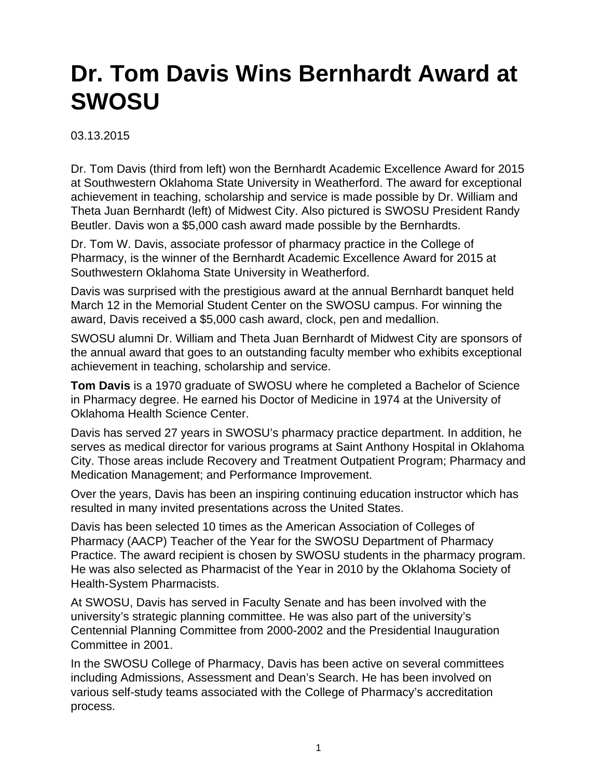## **Dr. Tom Davis Wins Bernhardt Award at SWOSU**

03.13.2015

Dr. Tom Davis (third from left) won the Bernhardt Academic Excellence Award for 2015 at Southwestern Oklahoma State University in Weatherford. The award for exceptional achievement in teaching, scholarship and service is made possible by Dr. William and Theta Juan Bernhardt (left) of Midwest City. Also pictured is SWOSU President Randy Beutler. Davis won a \$5,000 cash award made possible by the Bernhardts.

Dr. Tom W. Davis, associate professor of pharmacy practice in the College of Pharmacy, is the winner of the Bernhardt Academic Excellence Award for 2015 at Southwestern Oklahoma State University in Weatherford.

Davis was surprised with the prestigious award at the annual Bernhardt banquet held March 12 in the Memorial Student Center on the SWOSU campus. For winning the award, Davis received a \$5,000 cash award, clock, pen and medallion.

SWOSU alumni Dr. William and Theta Juan Bernhardt of Midwest City are sponsors of the annual award that goes to an outstanding faculty member who exhibits exceptional achievement in teaching, scholarship and service.

**Tom Davis** is a 1970 graduate of SWOSU where he completed a Bachelor of Science in Pharmacy degree. He earned his Doctor of Medicine in 1974 at the University of Oklahoma Health Science Center.

Davis has served 27 years in SWOSU's pharmacy practice department. In addition, he serves as medical director for various programs at Saint Anthony Hospital in Oklahoma City. Those areas include Recovery and Treatment Outpatient Program; Pharmacy and Medication Management; and Performance Improvement.

Over the years, Davis has been an inspiring continuing education instructor which has resulted in many invited presentations across the United States.

Davis has been selected 10 times as the American Association of Colleges of Pharmacy (AACP) Teacher of the Year for the SWOSU Department of Pharmacy Practice. The award recipient is chosen by SWOSU students in the pharmacy program. He was also selected as Pharmacist of the Year in 2010 by the Oklahoma Society of Health-System Pharmacists.

At SWOSU, Davis has served in Faculty Senate and has been involved with the university's strategic planning committee. He was also part of the university's Centennial Planning Committee from 2000-2002 and the Presidential Inauguration Committee in 2001.

In the SWOSU College of Pharmacy, Davis has been active on several committees including Admissions, Assessment and Dean's Search. He has been involved on various self-study teams associated with the College of Pharmacy's accreditation process.